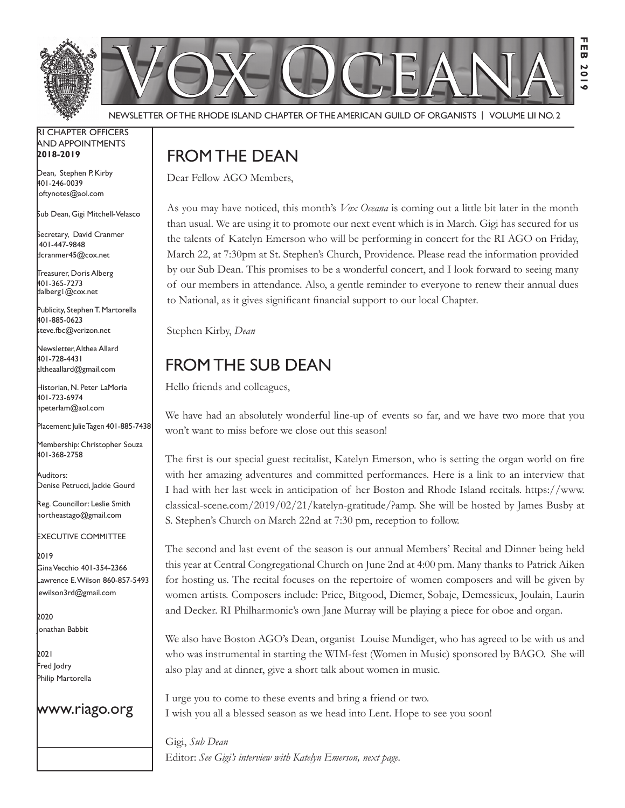

Newsletter of the Rhode Island Chapter of the American Guild of OrganistS | Volume LII No. 2

#### RI Chapter Officers and Appointments **2018-2019**

Dean, Stephen P. Kirby 401-246-0039 loftynotes@aol.com

Sub Dean, Gigi Mitchell-Velasco

Secretary, David Cranmer 401-447-9848 dcranmer45@cox.net

Treasurer, Doris Alberg 401-365-7273 dalberg1@cox.net I

Publicity, Stephen T. Martorella 401-885-0623 steve.fbc@verizon.net

Newsletter, Althea Allard 401-728-4431 altheaallard@gmail.com

Historian, N. Peter LaMoria 401-723-6974 npeterlam@aol.com

Placement: Julie Tagen 401-885-7438

Membership: Christopher Souza 401-368-2758

Auditors: Denise Petrucci, Jackie Gourd

Reg. Councillor: Leslie Smith northeastago@gmail.com

Executive Committee

2019 Gina Vecchio 401-354-2366 Lawrence E. Wilson 860-857-5493 lewilson3rd@gmail.com

2020 Jonathan Babbit

2021 Fred Jodry Philip Martorella

## www.riago.org

# FROM THE DEAN

Dear Fellow AGO Members,

As you may have noticed, this month's *Vox Oceana* is coming out a little bit later in the month than usual. We are using it to promote our next event which is in March. Gigi has secured for us the talents of Katelyn Emerson who will be performing in concert for the RI AGO on Friday, March 22, at 7:30pm at St. Stephen's Church, Providence. Please read the information provided by our Sub Dean. This promises to be a wonderful concert, and I look forward to seeing many of our members in attendance. Also, a gentle reminder to everyone to renew their annual dues to National, as it gives significant financial support to our local Chapter.

Stephen Kirby, *Dean*

# FROM THE SUB DEAN

Hello friends and colleagues,

We have had an absolutely wonderful line-up of events so far, and we have two more that you won't want to miss before we close out this season!

The first is our special guest recitalist, Katelyn Emerson, who is setting the organ world on fire with her amazing adventures and committed performances. Here is a link to an interview that I had with her last week in anticipation of her Boston and Rhode Island recitals. https://www. classical-scene.com/2019/02/21/katelyn-gratitude/?amp. She will be hosted by James Busby at S. Stephen's Church on March 22nd at 7:30 pm, reception to follow.

The second and last event of the season is our annual Members' Recital and Dinner being held this year at Central Congregational Church on June 2nd at 4:00 pm. Many thanks to Patrick Aiken for hosting us. The recital focuses on the repertoire of women composers and will be given by women artists. Composers include: Price, Bitgood, Diemer, Sobaje, Demessieux, Joulain, Laurin and Decker. RI Philharmonic's own Jane Murray will be playing a piece for oboe and organ.

We also have Boston AGO's Dean, organist Louise Mundiger, who has agreed to be with us and who was instrumental in starting the WIM-fest (Women in Music) sponsored by BAGO. She will also play and at dinner, give a short talk about women in music.

I urge you to come to these events and bring a friend or two. I wish you all a blessed season as we head into Lent. Hope to see you soon!

Gigi, *Sub Dean* Editor: *See Gigi's interview with Katelyn Emerson, next page.*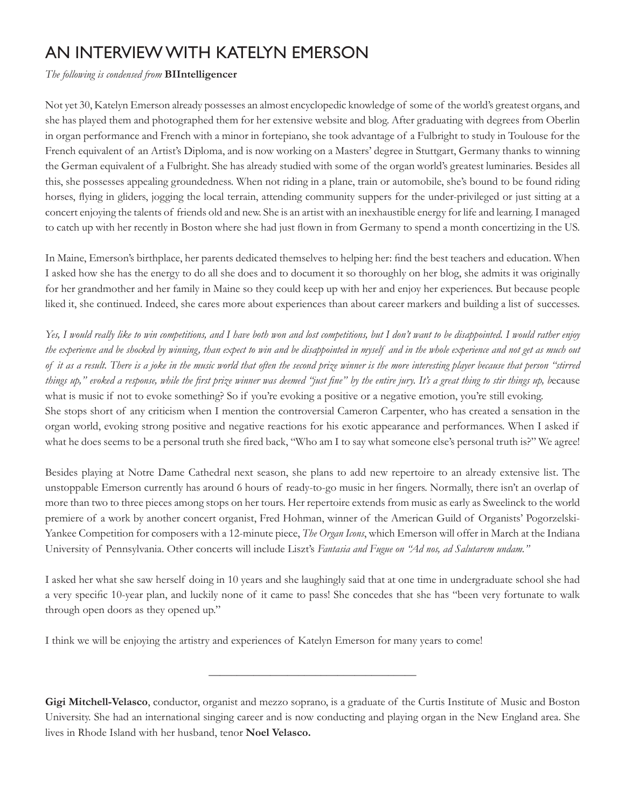# An Interview with Katelyn Emerson

## *The following is condensed from* **BIIntelligencer**

Not yet 30, Katelyn Emerson already possesses an almost encyclopedic knowledge of some of the world's greatest organs, and she has played them and photographed them for her extensive website and blog. After graduating with degrees from Oberlin in organ performance and French with a minor in fortepiano, she took advantage of a Fulbright to study in Toulouse for the French equivalent of an Artist's Diploma, and is now working on a Masters' degree in Stuttgart, Germany thanks to winning the German equivalent of a Fulbright. She has already studied with some of the organ world's greatest luminaries. Besides all this, she possesses appealing groundedness. When not riding in a plane, train or automobile, she's bound to be found riding horses, flying in gliders, jogging the local terrain, attending community suppers for the under-privileged or just sitting at a concert enjoying the talents of friends old and new. She is an artist with an inexhaustible energy for life and learning. I managed to catch up with her recently in Boston where she had just flown in from Germany to spend a month concertizing in the US.

In Maine, Emerson's birthplace, her parents dedicated themselves to helping her: find the best teachers and education. When I asked how she has the energy to do all she does and to document it so thoroughly on her blog, she admits it was originally for her grandmother and her family in Maine so they could keep up with her and enjoy her experiences. But because people liked it, she continued. Indeed, she cares more about experiences than about career markers and building a list of successes.

*Yes, I would really like to win competitions, and I have both won and lost competitions, but I don't want to be disappointed. I would rather enjoy the experience and be shocked by winning, than expect to win and be disappointed in myself and in the whole experience and not get as much out of it as a result. There is a joke in the music world that often the second prize winner is the more interesting player because that person "stirred things up," evoked a response, while the first prize winner was deemed "just fine" by the entire jury. It's a great thing to stir things up, b*ecause what is music if not to evoke something? So if you're evoking a positive or a negative emotion, you're still evoking. She stops short of any criticism when I mention the controversial Cameron Carpenter, who has created a sensation in the organ world, evoking strong positive and negative reactions for his exotic appearance and performances. When I asked if what he does seems to be a personal truth she fired back, "Who am I to say what someone else's personal truth is?" We agree!

Besides playing at Notre Dame Cathedral next season, she plans to add new repertoire to an already extensive list. The unstoppable Emerson currently has around 6 hours of ready-to-go music in her fingers. Normally, there isn't an overlap of more than two to three pieces among stops on her tours. Her repertoire extends from music as early as Sweelinck to the world premiere of a work by another concert organist, Fred Hohman, winner of the American Guild of Organists' Pogorzelski-Yankee Competition for composers with a 12-minute piece, *The Organ Icons*, which Emerson will offer in March at the Indiana University of Pennsylvania. Other concerts will include Liszt's *Fantasia and Fugue on "Ad nos, ad Salutarem undam."*

I asked her what she saw herself doing in 10 years and she laughingly said that at one time in undergraduate school she had a very specific 10-year plan, and luckily none of it came to pass! She concedes that she has "been very fortunate to walk through open doors as they opened up."

I think we will be enjoying the artistry and experiences of Katelyn Emerson for many years to come!

**\_\_\_\_\_\_\_\_\_\_\_\_\_\_\_\_\_\_\_\_\_\_\_\_\_\_\_\_\_\_\_\_\_\_\_\_\_**

**Gigi Mitchell-Velasco**, conductor, organist and mezzo soprano, is a graduate of the Curtis Institute of Music and Boston University. She had an international singing career and is now conducting and playing organ in the New England area. She lives in Rhode Island with her husband, tenor **Noel Velasco.**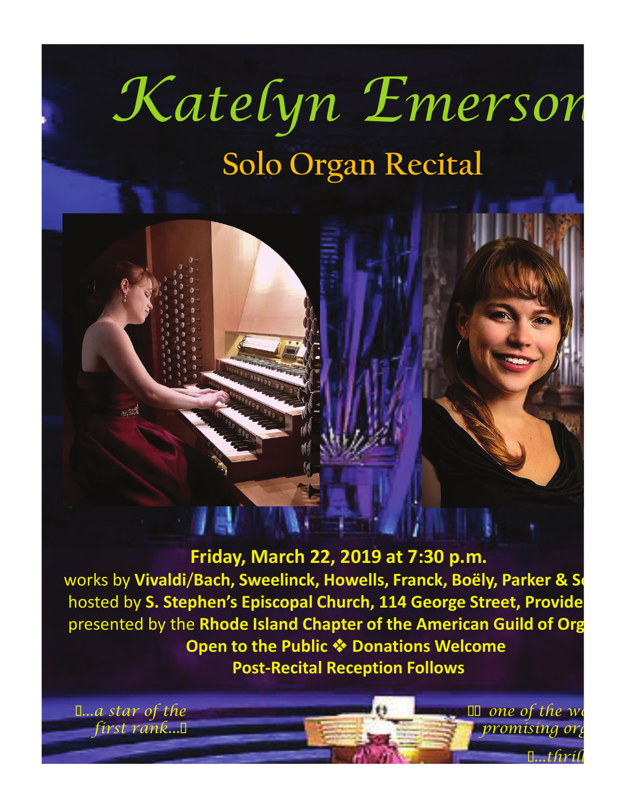# Katelyn Emerson **Solo Organ Recital**



 **Friday, March 22, 2019 at 7:30 p.m.**

works by Vivaldi/Bach, Sweelinck, Howells, Franck, Boëly, Parker & Sow hosted by S. Stephen's Episcopal Church, 114 George Street, Provide presented by the **Rhode Island Chapter of the American Guild of Org Open to the Public ❖ Donations Welcome Post-Recital Reception Follows**

 $\blacksquare$ ...thrill

 $\Box$  one of the world promisin

I...a star of the first rank...